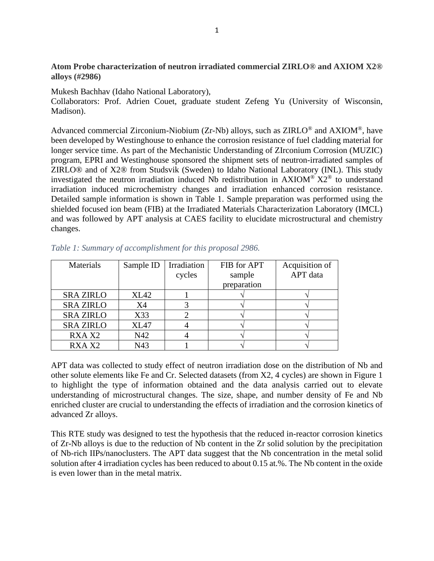## **Atom Probe characterization of neutron irradiated commercial ZIRLO® and AXIOM X2® alloys (#2986)**

Mukesh Bachhav (Idaho National Laboratory),

Collaborators: Prof. Adrien Couet, graduate student Zefeng Yu (University of Wisconsin, Madison).

Advanced commercial Zirconium-Niobium (Zr-Nb) alloys, such as  $ZIRLO^{\circledcirc}$  and  $AXIOM^{\circledcirc}$ , have been developed by Westinghouse to enhance the corrosion resistance of fuel cladding material for longer service time. As part of the Mechanistic Understanding of ZIrconium Corrosion (MUZIC) program, EPRI and Westinghouse sponsored the shipment sets of neutron-irradiated samples of ZIRLO® and of X2® from Studsvik (Sweden) to Idaho National Laboratory (INL). This study investigated the neutron irradiation induced Nb redistribution in  $AXIOM^{\circledR} X2^{\circledR}$  to understand irradiation induced microchemistry changes and irradiation enhanced corrosion resistance. Detailed sample information is shown in Table 1. Sample preparation was performed using the shielded focused ion beam (FIB) at the Irradiated Materials Characterization Laboratory (IMCL) and was followed by APT analysis at CAES facility to elucidate microstructural and chemistry changes.

| Materials        | Sample ID   | Irradiation | FIB for APT | Acquisition of |
|------------------|-------------|-------------|-------------|----------------|
|                  |             | cycles      | sample      | APT data       |
|                  |             |             | preparation |                |
| <b>SRA ZIRLO</b> | <b>XL42</b> |             |             |                |
| <b>SRA ZIRLO</b> | X4          |             |             |                |
| <b>SRA ZIRLO</b> | X33         |             |             |                |
| <b>SRA ZIRLO</b> | XL47        |             |             |                |
| RXA X2           | N42         |             |             |                |
| RXA X2           | N43         |             |             |                |

*Table 1: Summary of accomplishment for this proposal 2986.* 

APT data was collected to study effect of neutron irradiation dose on the distribution of Nb and other solute elements like Fe and Cr. Selected datasets (from X2, 4 cycles) are shown in Figure 1 to highlight the type of information obtained and the data analysis carried out to elevate understanding of microstructural changes. The size, shape, and number density of Fe and Nb enriched cluster are crucial to understanding the effects of irradiation and the corrosion kinetics of advanced Zr alloys.

This RTE study was designed to test the hypothesis that the reduced in-reactor corrosion kinetics of Zr-Nb alloys is due to the reduction of Nb content in the Zr solid solution by the precipitation of Nb-rich IIPs/nanoclusters. The APT data suggest that the Nb concentration in the metal solid solution after 4 irradiation cycles has been reduced to about 0.15 at.%. The Nb content in the oxide is even lower than in the metal matrix.